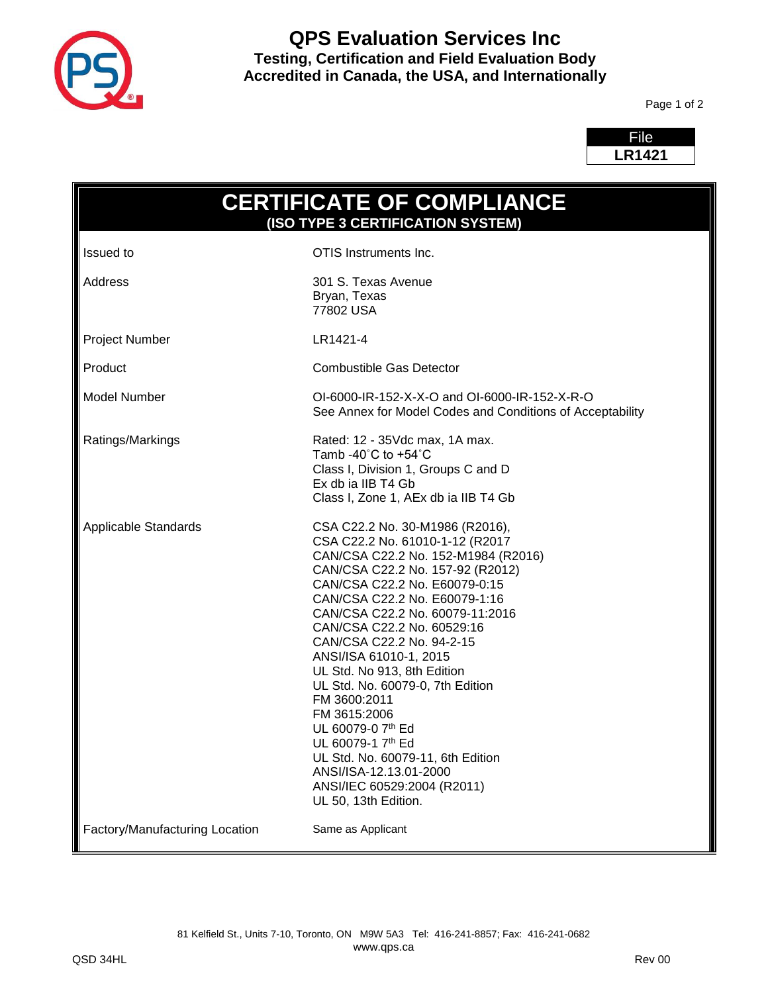

# **QPS Evaluation Services Inc Testing, Certification and Field Evaluation Body Accredited in Canada, the USA, and Internationally**

Page 1 of 2

| File          |  |
|---------------|--|
| <b>LR1421</b> |  |
|               |  |

г

| <b>CERTIFICATE OF COMPLIANCE</b><br>(ISO TYPE 3 CERTIFICATION SYSTEM) |                                                                                                                                                                                                                                                                                                                                                                                                                                                                                                                                                                                                            |  |
|-----------------------------------------------------------------------|------------------------------------------------------------------------------------------------------------------------------------------------------------------------------------------------------------------------------------------------------------------------------------------------------------------------------------------------------------------------------------------------------------------------------------------------------------------------------------------------------------------------------------------------------------------------------------------------------------|--|
| Issued to                                                             | OTIS Instruments Inc.                                                                                                                                                                                                                                                                                                                                                                                                                                                                                                                                                                                      |  |
| Address                                                               | 301 S. Texas Avenue<br>Bryan, Texas<br>77802 USA                                                                                                                                                                                                                                                                                                                                                                                                                                                                                                                                                           |  |
| Project Number                                                        | LR1421-4                                                                                                                                                                                                                                                                                                                                                                                                                                                                                                                                                                                                   |  |
| Product                                                               | <b>Combustible Gas Detector</b>                                                                                                                                                                                                                                                                                                                                                                                                                                                                                                                                                                            |  |
| Model Number                                                          | OI-6000-IR-152-X-X-O and OI-6000-IR-152-X-R-O<br>See Annex for Model Codes and Conditions of Acceptability                                                                                                                                                                                                                                                                                                                                                                                                                                                                                                 |  |
| Ratings/Markings                                                      | Rated: 12 - 35Vdc max, 1A max.<br>Tamb -40 $^{\circ}$ C to +54 $^{\circ}$ C<br>Class I, Division 1, Groups C and D<br>Ex db ia IIB T4 Gb<br>Class I, Zone 1, AEx db ia IIB T4 Gb                                                                                                                                                                                                                                                                                                                                                                                                                           |  |
| Applicable Standards                                                  | CSA C22.2 No. 30-M1986 (R2016),<br>CSA C22.2 No. 61010-1-12 (R2017<br>CAN/CSA C22.2 No. 152-M1984 (R2016)<br>CAN/CSA C22.2 No. 157-92 (R2012)<br>CAN/CSA C22.2 No. E60079-0:15<br>CAN/CSA C22.2 No. E60079-1:16<br>CAN/CSA C22.2 No. 60079-11:2016<br>CAN/CSA C22.2 No. 60529:16<br>CAN/CSA C22.2 No. 94-2-15<br>ANSI/ISA 61010-1, 2015<br>UL Std. No 913, 8th Edition<br>UL Std. No. 60079-0, 7th Edition<br>FM 3600:2011<br>FM 3615:2006<br>UL 60079-0 7th Ed<br>UL 60079-1 7th Ed<br>UL Std. No. 60079-11, 6th Edition<br>ANSI/ISA-12.13.01-2000<br>ANSI/IEC 60529:2004 (R2011)<br>UL 50, 13th Edition. |  |
| Factory/Manufacturing Location                                        | Same as Applicant                                                                                                                                                                                                                                                                                                                                                                                                                                                                                                                                                                                          |  |